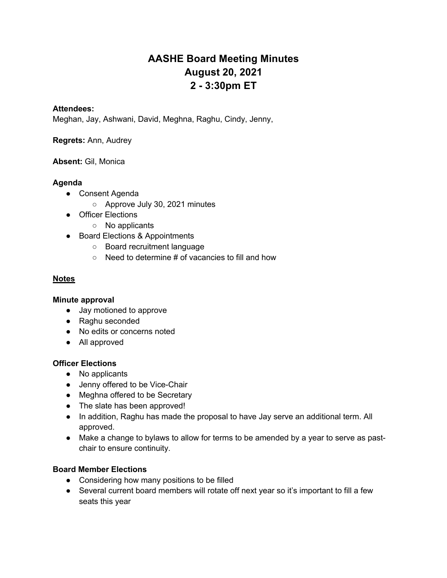# **AASHE Board Meeting Minutes August 20, 2021 2 - 3:30pm ET**

#### **Attendees:**

Meghan, Jay, Ashwani, David, Meghna, Raghu, Cindy, Jenny,

**Regrets:** Ann, Audrey

**Absent:** Gil, Monica

#### **Agenda**

- Consent Agenda
	- Approve July 30, 2021 minutes
- Officer Elections
	- No applicants
- Board Elections & Appointments
	- Board recruitment language
	- Need to determine # of vacancies to fill and how

#### **Notes**

#### **Minute approval**

- Jay motioned to approve
- Raghu seconded
- No edits or concerns noted
- All approved

#### **Officer Elections**

- No applicants
- Jenny offered to be Vice-Chair
- Meghna offered to be Secretary
- The slate has been approved!
- In addition, Raghu has made the proposal to have Jay serve an additional term. All approved.
- Make a change to bylaws to allow for terms to be amended by a year to serve as pastchair to ensure continuity.

#### **Board Member Elections**

- Considering how many positions to be filled
- Several current board members will rotate off next year so it's important to fill a few seats this year